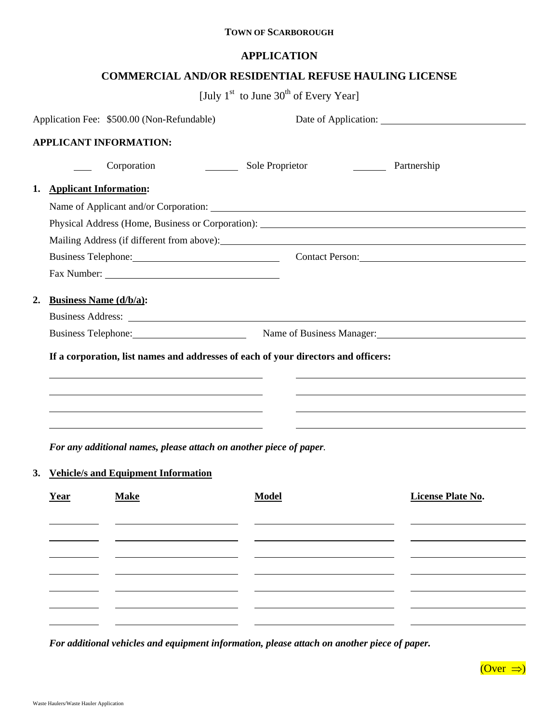## **TOWN OF SCARBOROUGH**

## **APPLICATION**

## **COMMERCIAL AND/OR RESIDENTIAL REFUSE HAULING LICENSE**

[July  $1<sup>st</sup>$  to June  $30<sup>th</sup>$  of Every Year]

|    |                                                                                                                                                                                                        | Application Fee: \$500.00 (Non-Refundable)                                        |                                                                                                                                                                                                                                |  |  |
|----|--------------------------------------------------------------------------------------------------------------------------------------------------------------------------------------------------------|-----------------------------------------------------------------------------------|--------------------------------------------------------------------------------------------------------------------------------------------------------------------------------------------------------------------------------|--|--|
|    |                                                                                                                                                                                                        | <b>APPLICANT INFORMATION:</b>                                                     |                                                                                                                                                                                                                                |  |  |
|    |                                                                                                                                                                                                        | Corporation<br>$\mathcal{L}_{\text{max}}$ . The set of $\mathcal{L}_{\text{max}}$ | Sole Proprietor<br>Partnership                                                                                                                                                                                                 |  |  |
| 1. | <b>Applicant Information:</b>                                                                                                                                                                          |                                                                                   |                                                                                                                                                                                                                                |  |  |
|    |                                                                                                                                                                                                        |                                                                                   |                                                                                                                                                                                                                                |  |  |
|    |                                                                                                                                                                                                        |                                                                                   | Physical Address (Home, Business or Corporation): New York 1988.                                                                                                                                                               |  |  |
|    |                                                                                                                                                                                                        |                                                                                   |                                                                                                                                                                                                                                |  |  |
|    |                                                                                                                                                                                                        |                                                                                   | Business Telephone: Contact Person: Contact Person:                                                                                                                                                                            |  |  |
|    |                                                                                                                                                                                                        |                                                                                   |                                                                                                                                                                                                                                |  |  |
| 2. | <b>Business Name (d/b/a):</b>                                                                                                                                                                          |                                                                                   | Business Address: The Second Second Second Second Second Second Second Second Second Second Second Second Second Second Second Second Second Second Second Second Second Second Second Second Second Second Second Second Seco |  |  |
|    |                                                                                                                                                                                                        |                                                                                   | Business Telephone: Name of Business Manager: Name of Business Manager:                                                                                                                                                        |  |  |
|    | If a corporation, list names and addresses of each of your directors and officers:<br>and the control of the control of the control of the control of the control of the control of the control of the |                                                                                   |                                                                                                                                                                                                                                |  |  |
|    |                                                                                                                                                                                                        |                                                                                   |                                                                                                                                                                                                                                |  |  |
|    |                                                                                                                                                                                                        |                                                                                   |                                                                                                                                                                                                                                |  |  |
|    |                                                                                                                                                                                                        |                                                                                   |                                                                                                                                                                                                                                |  |  |
|    |                                                                                                                                                                                                        | For any additional names, please attach on another piece of paper.                |                                                                                                                                                                                                                                |  |  |
|    |                                                                                                                                                                                                        | 3. Vehicle/s and Equipment Information                                            |                                                                                                                                                                                                                                |  |  |

| Year | <b>Make</b> | <b>Model</b> | <b>License Plate No.</b> |
|------|-------------|--------------|--------------------------|
|      |             |              |                          |
|      |             |              |                          |
|      |             |              |                          |
|      |             |              |                          |
|      |             |              |                          |
|      |             |              |                          |
|      |             |              |                          |
|      |             |              |                          |

*For additional vehicles and equipment information, please attach on another piece of paper.*